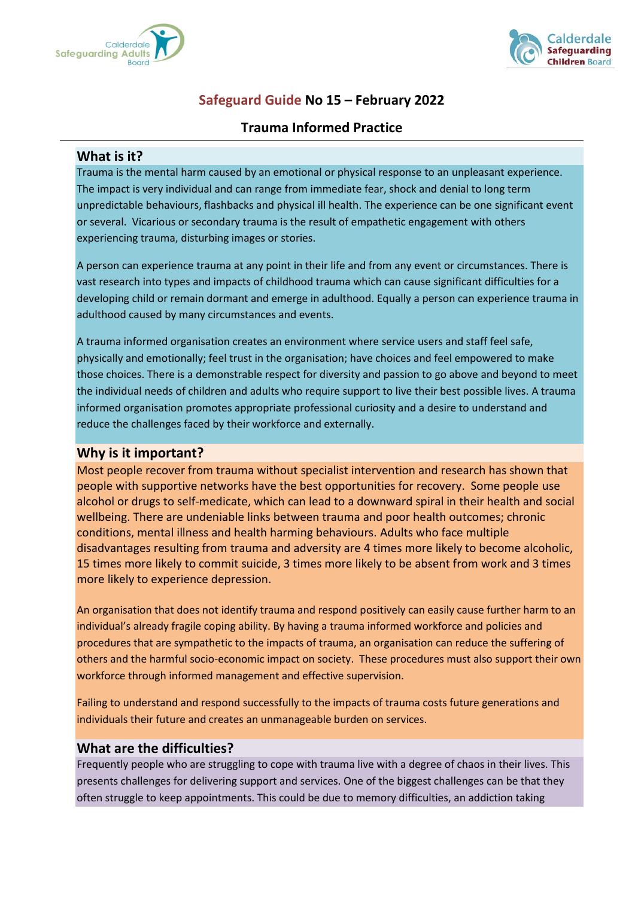



# **Safeguard Guide No 15 – February 2022**

## **Trauma Informed Practice**

#### **What is it?**

Trauma is the mental harm caused by an emotional or physical response to an unpleasant experience. The impact is very individual and can range from immediate fear, shock and denial to long term unpredictable behaviours, flashbacks and physical ill health. The experience can be one significant event or several. Vicarious or secondary trauma is the result of empathetic engagement with others experiencing trauma, disturbing images or stories.

A person can experience trauma at any point in their life and from any event or circumstances. There is vast research into types and impacts of childhood trauma which can cause significant difficulties for a developing child or remain dormant and emerge in adulthood. Equally a person can experience trauma in adulthood caused by many circumstances and events.

A trauma informed organisation creates an environment where service users and staff feel safe, physically and emotionally; feel trust in the organisation; have choices and feel empowered to make those choices. There is a demonstrable respect for diversity and passion to go above and beyond to meet the individual needs of children and adults who require support to live their best possible lives. A trauma informed organisation promotes appropriate professional curiosity and a desire to understand and reduce the challenges faced by their workforce and externally.

### **Why is it important?**

Most people recover from trauma without specialist intervention and research has shown that people with supportive networks have the best opportunities for recovery. Some people use alcohol or drugs to self-medicate, which can lead to a downward spiral in their health and social wellbeing. There are undeniable links between trauma and poor health outcomes; chronic conditions, mental illness and health harming behaviours. Adults who face multiple disadvantages resulting from trauma and adversity are 4 times more likely to become alcoholic, 15 times more likely to commit suicide, 3 times more likely to be absent from work and 3 times more likely to experience depression.

An organisation that does not identify trauma and respond positively can easily cause further harm to an individual's already fragile coping ability. By having a trauma informed workforce and policies and procedures that are sympathetic to the impacts of trauma, an organisation can reduce the suffering of others and the harmful socio-economic impact on society. These procedures must also support their own workforce through informed management and effective supervision.

Failing to understand and respond successfully to the impacts of trauma costs future generations and individuals their future and creates an unmanageable burden on services.

### **What are the difficulties?**

Frequently people who are struggling to cope with trauma live with a degree of chaos in their lives. This presents challenges for delivering support and services. One of the biggest challenges can be that they often struggle to keep appointments. This could be due to memory difficulties, an addiction taking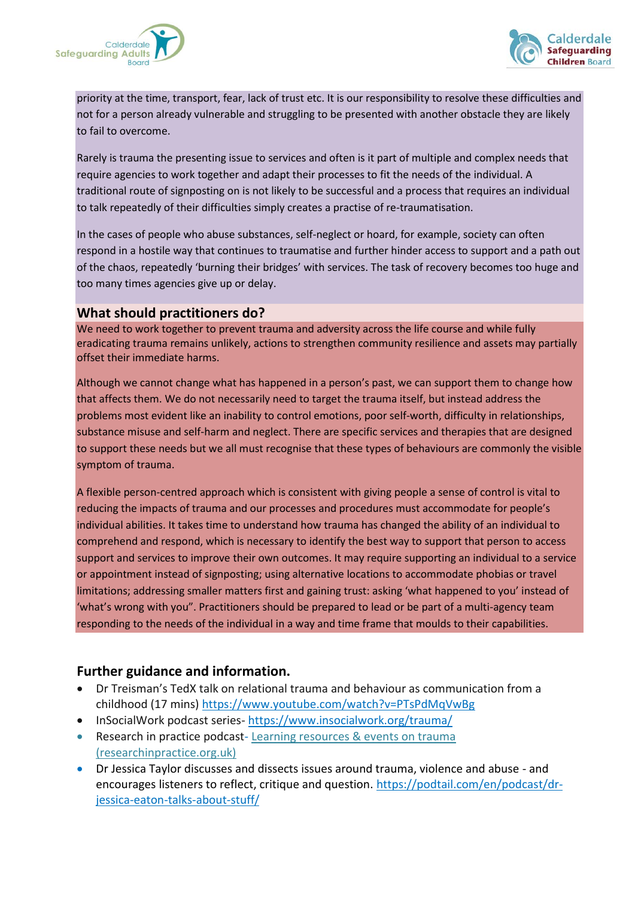



priority at the time, transport, fear, lack of trust etc. It is our responsibility to resolve these difficulties and not for a person already vulnerable and struggling to be presented with another obstacle they are likely to fail to overcome.

Rarely is trauma the presenting issue to services and often is it part of multiple and complex needs that require agencies to work together and adapt their processes to fit the needs of the individual. A traditional route of signposting on is not likely to be successful and a process that requires an individual to talk repeatedly of their difficulties simply creates a practise of re-traumatisation.

In the cases of people who abuse substances, self-neglect or hoard, for example, society can often respond in a hostile way that continues to traumatise and further hinder access to support and a path out of the chaos, repeatedly 'burning their bridges' with services. The task of recovery becomes too huge and too many times agencies give up or delay.

### **What should practitioners do?**

We need to work together to prevent trauma and adversity across the life course and while fully eradicating trauma remains unlikely, actions to strengthen community resilience and assets may partially offset their immediate harms.

Although we cannot change what has happened in a person's past, we can support them to change how that affects them. We do not necessarily need to target the trauma itself, but instead address the problems most evident like an inability to control emotions, poor self-worth, difficulty in relationships, substance misuse and self-harm and neglect. There are specific services and therapies that are designed to support these needs but we all must recognise that these types of behaviours are commonly the visible symptom of trauma.

A flexible person-centred approach which is consistent with giving people a sense of control is vital to reducing the impacts of trauma and our processes and procedures must accommodate for people's individual abilities. It takes time to understand how trauma has changed the ability of an individual to comprehend and respond, which is necessary to identify the best way to support that person to access support and services to improve their own outcomes. It may require supporting an individual to a service or appointment instead of signposting; using alternative locations to accommodate phobias or travel limitations; addressing smaller matters first and gaining trust: asking 'what happened to you' instead of 'what's wrong with you". Practitioners should be prepared to lead or be part of a multi-agency team responding to the needs of the individual in a way and time frame that moulds to their capabilities.

## **Further guidance and information.**

- Dr Treisman's TedX talk on relational trauma and behaviour as communication from a childhood (17 mins) <https://www.youtube.com/watch?v=PTsPdMqVwBg>
- InSocialWork podcast series- <https://www.insocialwork.org/trauma/>
- Research in practice podcast-Learning resources & events on trauma [\(researchinpractice.org.uk\)](https://www.researchinpractice.org.uk/all/topics/trauma/)
- Dr Jessica Taylor discusses and dissects issues around trauma, violence and abuse and encourages listeners to reflect, critique and question. [https://podtail.com/en/podcast/dr](https://podtail.com/en/podcast/dr-jessica-eaton-talks-about-stuff/)[jessica-eaton-talks-about-stuff/](https://podtail.com/en/podcast/dr-jessica-eaton-talks-about-stuff/)